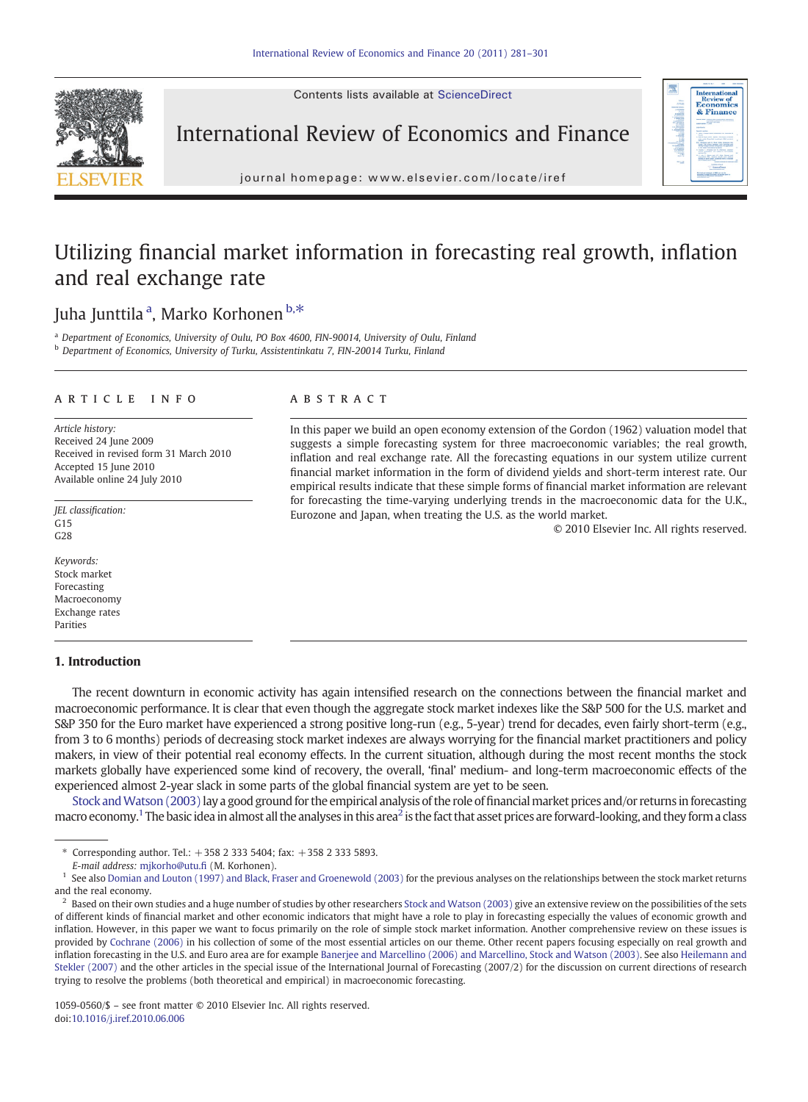Contents lists available at ScienceDirect



International Review of Economics and Finance



j o u r n a l h om e p a g e : www. e l s ev i e r. c om / l o c a t e / i r e f

## Utilizing financial market information in forecasting real growth, inflation and real exchange rate

### Juha Junttila <sup>a</sup>, Marko Korhonen <sup>b,</sup>\*

<sup>a</sup> Department of Economics, University of Oulu, PO Box 4600, FIN-90014, University of Oulu, Finland <sup>b</sup> Department of Economics, University of Turku, Assistentinkatu 7, FIN-20014 Turku, Finland

### article info abstract

Article history: Received 24 June 2009 Received in revised form 31 March 2010 Accepted 15 June 2010 Available online 24 July 2010

JEL classification:  $C15$ G28

Keywords: Stock market Forecasting Macroeconomy Exchange rates Parities

#### 1. Introduction

In this paper we build an open economy extension of the Gordon (1962) valuation model that suggests a simple forecasting system for three macroeconomic variables; the real growth, inflation and real exchange rate. All the forecasting equations in our system utilize current financial market information in the form of dividend yields and short-term interest rate. Our empirical results indicate that these simple forms of financial market information are relevant for forecasting the time-varying underlying trends in the macroeconomic data for the U.K., Eurozone and Japan, when treating the U.S. as the world market.

© 2010 Elsevier Inc. All rights reserved.

The recent downturn in economic activity has again intensified research on the connections between the financial market and macroeconomic performance. It is clear that even though the aggregate stock market indexes like the S&P 500 for the U.S. market and S&P 350 for the Euro market have experienced a strong positive long-run (e.g., 5-year) trend for decades, even fairly short-term (e.g., from 3 to 6 months) periods of decreasing stock market indexes are always worrying for the financial market practitioners and policy makers, in view of their potential real economy effects. In the current situation, although during the most recent months the stock markets globally have experienced some kind of recovery, the overall, 'final' medium- and long-term macroeconomic effects of the experienced almost 2-year slack in some parts of the global financial system are yet to be seen.

Stock and Watson (2003) lay a good ground for the empirical analysis of the role of financial market prices and/or returns in forecasting macro economy.<sup>1</sup> The basic idea in almost all the analyses in this area<sup>2</sup> is the fact that asset prices are forward-looking, and they form a class

<sup>⁎</sup> Corresponding author. Tel.: +358 2 333 5404; fax: +358 2 333 5893.

E-mail address: [mjkorho@utu.](mailto:mjkorho@utu.fi)fi (M. Korhonen).

 $<sup>1</sup>$  See also Domian and Louton (1997) and Black. Fraser and Groenewold (2003) for the previous analyses on the relationships between the stock market returns</sup> and the real economy.

<sup>2</sup> Based on their own studies and a huge number of studies by other researchers [Stock and Watson \(2003\)](#page--1-0) give an extensive review on the possibilities of the sets of different kinds of financial market and other economic indicators that might have a role to play in forecasting especially the values of economic growth and inflation. However, in this paper we want to focus primarily on the role of simple stock market information. Another comprehensive review on these issues is provided by [Cochrane \(2006\)](#page--1-0) in his collection of some of the most essential articles on our theme. Other recent papers focusing especially on real growth and inflation forecasting in the U.S. and Euro area are for example [Banerjee and Marcellino \(2006\) and Marcellino, Stock and Watson \(2003\)](#page--1-0). See also [Heilemann and](#page--1-0) [Stekler \(2007\)](#page--1-0) and the other articles in the special issue of the International Journal of Forecasting (2007/2) for the discussion on current directions of research trying to resolve the problems (both theoretical and empirical) in macroeconomic forecasting.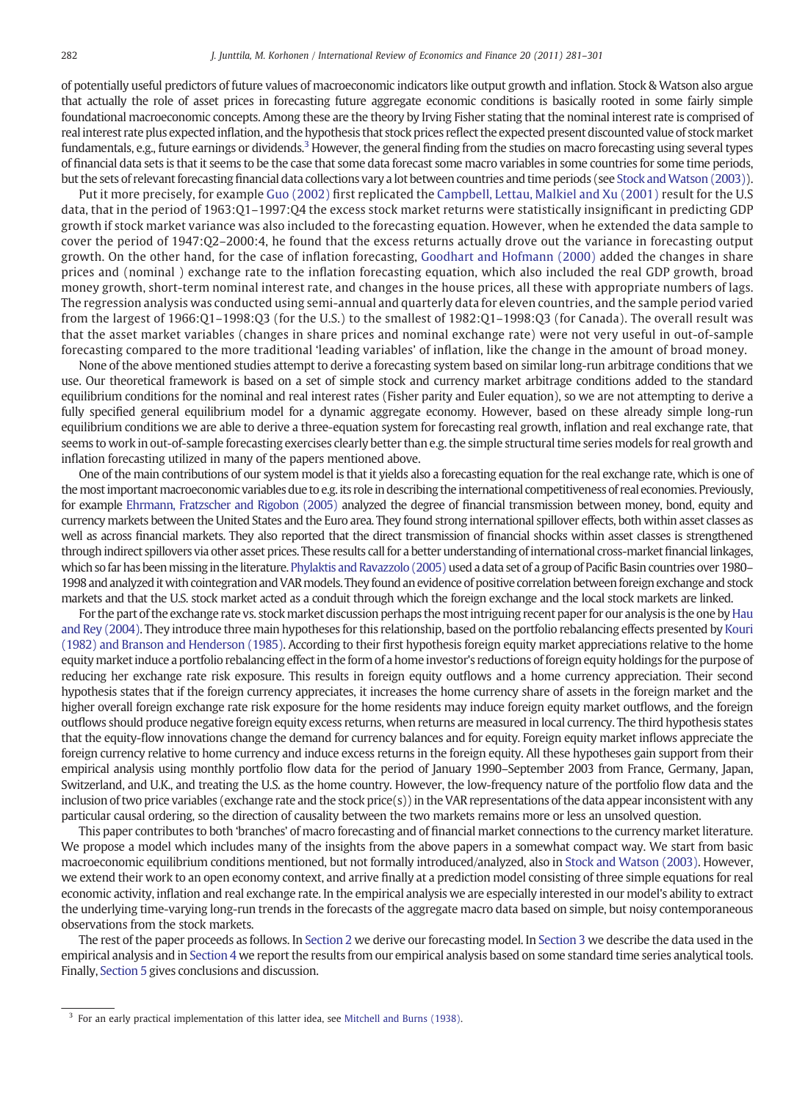of potentially useful predictors of future values of macroeconomic indicators like output growth and inflation. Stock & Watson also argue that actually the role of asset prices in forecasting future aggregate economic conditions is basically rooted in some fairly simple foundational macroeconomic concepts. Among these are the theory by Irving Fisher stating that the nominal interest rate is comprised of real interest rate plus expected inflation, and the hypothesis that stock prices reflect the expected present discounted value of stockmarket fundamentals, e.g., future earnings or dividends.<sup>3</sup> However, the general finding from the studies on macro forecasting using several types of financial data sets is that it seems to be the case that some data forecast some macro variables in some countries for some time periods, but the sets of relevant forecasting financial data collections vary a lot between countries and time periods (see Stock and Watson (2003)).

Put it more precisely, for example [Guo \(2002\)](#page--1-0) first replicated the [Campbell, Lettau, Malkiel and Xu \(2001\)](#page--1-0) result for the U.S data, that in the period of 1963:Q1–1997:Q4 the excess stock market returns were statistically insignificant in predicting GDP growth if stock market variance was also included to the forecasting equation. However, when he extended the data sample to cover the period of 1947:Q2–2000:4, he found that the excess returns actually drove out the variance in forecasting output growth. On the other hand, for the case of inflation forecasting, [Goodhart and Hofmann \(2000\)](#page--1-0) added the changes in share prices and (nominal ) exchange rate to the inflation forecasting equation, which also included the real GDP growth, broad money growth, short-term nominal interest rate, and changes in the house prices, all these with appropriate numbers of lags. The regression analysis was conducted using semi-annual and quarterly data for eleven countries, and the sample period varied from the largest of 1966:Q1–1998:Q3 (for the U.S.) to the smallest of 1982:Q1–1998:Q3 (for Canada). The overall result was that the asset market variables (changes in share prices and nominal exchange rate) were not very useful in out-of-sample forecasting compared to the more traditional 'leading variables' of inflation, like the change in the amount of broad money.

None of the above mentioned studies attempt to derive a forecasting system based on similar long-run arbitrage conditions that we use. Our theoretical framework is based on a set of simple stock and currency market arbitrage conditions added to the standard equilibrium conditions for the nominal and real interest rates (Fisher parity and Euler equation), so we are not attempting to derive a fully specified general equilibrium model for a dynamic aggregate economy. However, based on these already simple long-run equilibrium conditions we are able to derive a three-equation system for forecasting real growth, inflation and real exchange rate, that seems to work in out-of-sample forecasting exercises clearly better than e.g. the simple structural time series models for real growth and inflation forecasting utilized in many of the papers mentioned above.

One of the main contributions of our system model is that it yields also a forecasting equation for the real exchange rate, which is one of the most important macroeconomic variables due to e.g. its role in describing the international competitiveness of real economies. Previously, for example [Ehrmann, Fratzscher and Rigobon \(2005\)](#page--1-0) analyzed the degree of financial transmission between money, bond, equity and currency markets between the United States and the Euro area. They found strong international spillover effects, both within asset classes as well as across financial markets. They also reported that the direct transmission of financial shocks within asset classes is strengthened through indirect spillovers via other asset prices. These results call for a better understanding of international cross-market financial linkages, which so far has been missing in the literature. [Phylaktis and Ravazzolo \(2005\)](#page--1-0) used a data set of a group of Pacific Basin countries over 1980– 1998 and analyzed it with cointegration and VAR models. They found an evidence of positive correlation between foreign exchange and stock markets and that the U.S. stock market acted as a conduit through which the foreign exchange and the local stock markets are linked.

For the part of the exchange rate vs. stock market discussion perhaps the most intriguing recent paper for our analysis is the one by [Hau](#page--1-0) [and Rey \(2004\)](#page--1-0). They introduce three main hypotheses for this relationship, based on the portfolio rebalancing effects presented by [Kouri](#page--1-0) [\(1982\) and Branson and Henderson \(1985\).](#page--1-0) According to their first hypothesis foreign equity market appreciations relative to the home equity market induce a portfolio rebalancing effect in the form of a home investor's reductions of foreign equity holdings for the purpose of reducing her exchange rate risk exposure. This results in foreign equity outflows and a home currency appreciation. Their second hypothesis states that if the foreign currency appreciates, it increases the home currency share of assets in the foreign market and the higher overall foreign exchange rate risk exposure for the home residents may induce foreign equity market outflows, and the foreign outflows should produce negative foreign equity excess returns, when returns are measured in local currency. The third hypothesis states that the equity-flow innovations change the demand for currency balances and for equity. Foreign equity market inflows appreciate the foreign currency relative to home currency and induce excess returns in the foreign equity. All these hypotheses gain support from their empirical analysis using monthly portfolio flow data for the period of January 1990–September 2003 from France, Germany, Japan, Switzerland, and U.K., and treating the U.S. as the home country. However, the low-frequency nature of the portfolio flow data and the inclusion of two price variables (exchange rate and the stock price(s)) in the VAR representations of the data appear inconsistent with any particular causal ordering, so the direction of causality between the two markets remains more or less an unsolved question.

This paper contributes to both 'branches' of macro forecasting and of financial market connections to the currency market literature. We propose a model which includes many of the insights from the above papers in a somewhat compact way. We start from basic macroeconomic equilibrium conditions mentioned, but not formally introduced/analyzed, also in [Stock and Watson \(2003\)](#page--1-0). However, we extend their work to an open economy context, and arrive finally at a prediction model consisting of three simple equations for real economic activity, inflation and real exchange rate. In the empirical analysis we are especially interested in our model's ability to extract the underlying time-varying long-run trends in the forecasts of the aggregate macro data based on simple, but noisy contemporaneous observations from the stock markets.

The rest of the paper proceeds as follows. In [Section 2](#page--1-0) we derive our forecasting model. In [Section 3](#page--1-0) we describe the data used in the empirical analysis and in [Section 4](#page--1-0) we report the results from our empirical analysis based on some standard time series analytical tools. Finally, [Section 5](#page--1-0) gives conclusions and discussion.

<sup>&</sup>lt;sup>3</sup> For an early practical implementation of this latter idea, see [Mitchell and Burns \(1938\)](#page--1-0).